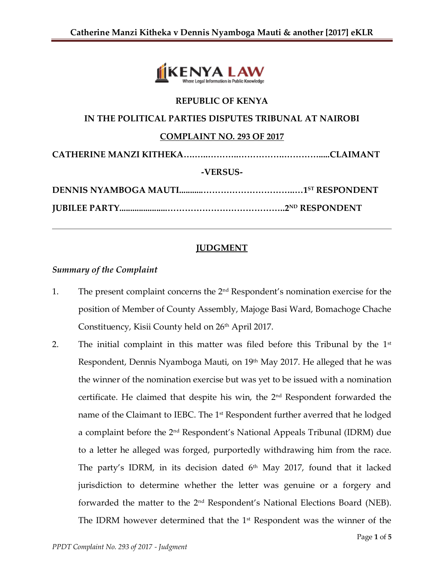

### **REPUBLIC OF KENYA**

### **IN THE POLITICAL PARTIES DISPUTES TRIBUNAL AT NAIROBI**

#### **COMPLAINT NO. 293 OF 2017**

**CATHERINE MANZI KITHEKA….…..………..…………….………….....CLAIMANT**

#### **-VERSUS-**

# **JUDGMENT**

## *Summary of the Complaint*

- 1. The present complaint concerns the  $2<sup>nd</sup>$  Respondent's nomination exercise for the position of Member of County Assembly, Majoge Basi Ward, Bomachoge Chache Constituency, Kisii County held on 26<sup>th</sup> April 2017.
- 2. The initial complaint in this matter was filed before this Tribunal by the  $1<sup>st</sup>$ Respondent, Dennis Nyamboga Mauti, on 19<sup>th</sup> May 2017. He alleged that he was the winner of the nomination exercise but was yet to be issued with a nomination certificate. He claimed that despite his win, the  $2<sup>nd</sup>$  Respondent forwarded the name of the Claimant to IEBC. The 1<sup>st</sup> Respondent further averred that he lodged a complaint before the 2<sup>nd</sup> Respondent's National Appeals Tribunal (IDRM) due to a letter he alleged was forged, purportedly withdrawing him from the race. The party's IDRM, in its decision dated  $6<sup>th</sup>$  May 2017, found that it lacked jurisdiction to determine whether the letter was genuine or a forgery and forwarded the matter to the 2nd Respondent's National Elections Board (NEB). The IDRM however determined that the  $1<sup>st</sup>$  Respondent was the winner of the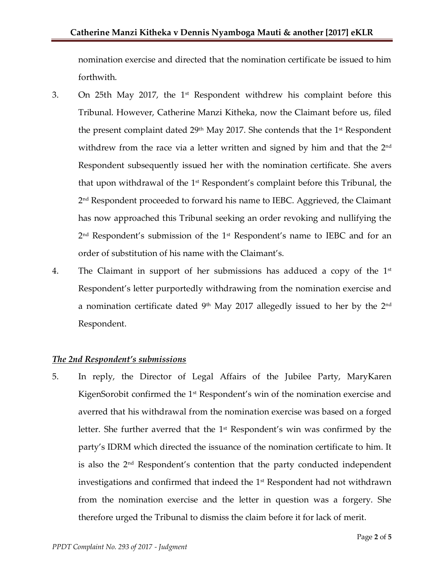nomination exercise and directed that the nomination certificate be issued to him forthwith.

- 3. On 25th May 2017, the 1<sup>st</sup> Respondent withdrew his complaint before this Tribunal. However, Catherine Manzi Kitheka, now the Claimant before us, filed the present complaint dated  $29<sup>th</sup>$  May 2017. She contends that the 1<sup>st</sup> Respondent withdrew from the race via a letter written and signed by him and that the 2<sup>nd</sup> Respondent subsequently issued her with the nomination certificate. She avers that upon withdrawal of the  $1<sup>st</sup>$  Respondent's complaint before this Tribunal, the 2 nd Respondent proceeded to forward his name to IEBC. Aggrieved, the Claimant has now approached this Tribunal seeking an order revoking and nullifying the 2 nd Respondent's submission of the 1st Respondent's name to IEBC and for an order of substitution of his name with the Claimant's.
- 4. The Claimant in support of her submissions has adduced a copy of the  $1<sup>st</sup>$ Respondent's letter purportedly withdrawing from the nomination exercise and a nomination certificate dated 9th May 2017 allegedly issued to her by the  $2^{\rm nd}$ Respondent.

### *The 2nd Respondent's submissions*

5. In reply, the Director of Legal Affairs of the Jubilee Party, MaryKaren KigenSorobit confirmed the 1<sup>st</sup> Respondent's win of the nomination exercise and averred that his withdrawal from the nomination exercise was based on a forged letter. She further averred that the 1<sup>st</sup> Respondent's win was confirmed by the party's IDRM which directed the issuance of the nomination certificate to him. It is also the  $2<sup>nd</sup>$  Respondent's contention that the party conducted independent investigations and confirmed that indeed the 1st Respondent had not withdrawn from the nomination exercise and the letter in question was a forgery. She therefore urged the Tribunal to dismiss the claim before it for lack of merit.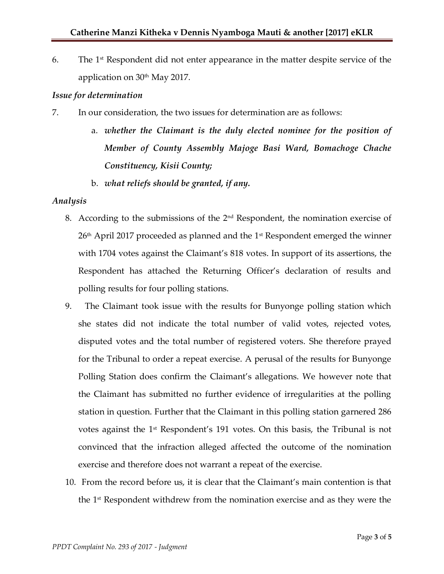6. The 1 st Respondent did not enter appearance in the matter despite service of the application on  $30<sup>th</sup>$  May 2017.

#### *Issue for determination*

- 7. In our consideration, the two issues for determination are as follows:
	- a. *whether the Claimant is the duly elected nominee for the position of Member of County Assembly Majoge Basi Ward, Bomachoge Chache Constituency, Kisii County;*
	- b. *what reliefs should be granted, if any.*

### *Analysis*

- 8. According to the submissions of the  $2<sup>nd</sup>$  Respondent, the nomination exercise of  $26<sup>th</sup>$  April 2017 proceeded as planned and the 1<sup>st</sup> Respondent emerged the winner with 1704 votes against the Claimant's 818 votes. In support of its assertions, the Respondent has attached the Returning Officer's declaration of results and polling results for four polling stations.
- 9. The Claimant took issue with the results for Bunyonge polling station which she states did not indicate the total number of valid votes, rejected votes, disputed votes and the total number of registered voters. She therefore prayed for the Tribunal to order a repeat exercise. A perusal of the results for Bunyonge Polling Station does confirm the Claimant's allegations. We however note that the Claimant has submitted no further evidence of irregularities at the polling station in question. Further that the Claimant in this polling station garnered 286 votes against the 1<sup>st</sup> Respondent's 191 votes. On this basis, the Tribunal is not convinced that the infraction alleged affected the outcome of the nomination exercise and therefore does not warrant a repeat of the exercise.
- 10. From the record before us, it is clear that the Claimant's main contention is that the  $1<sup>st</sup>$  Respondent withdrew from the nomination exercise and as they were the